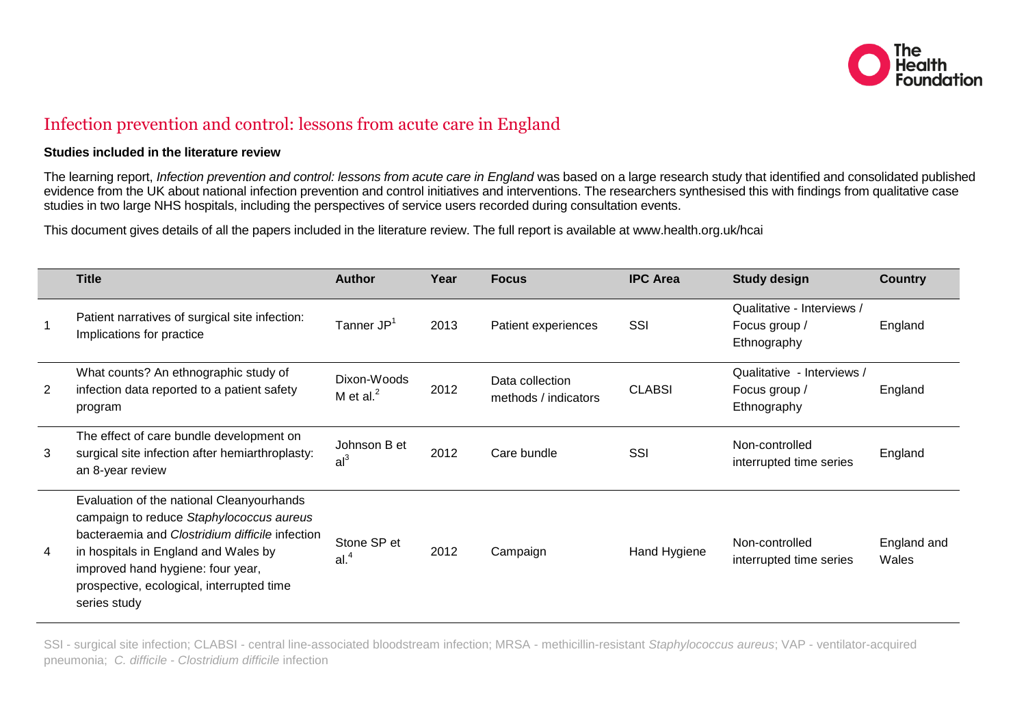

## Infection prevention and control: lessons from acute care in England

## **Studies included in the literature review**

The learning report, *Infection prevention and control: lessons from acute care in England* was based on a large research study that identified and consolidated published evidence from the UK about national infection prevention and control initiatives and interventions. The researchers synthesised this with findings from qualitative case studies in two large NHS hospitals, including the perspectives of service users recorded during consultation events.

This document gives details of all the papers included in the literature review. The full report is available at www.health.org.uk/hcai

|   | <b>Title</b>                                                                                                                                                                                                                                                                       | <b>Author</b>                   | Year | <b>Focus</b>                            | <b>IPC Area</b> | <b>Study design</b>                                        | <b>Country</b>       |
|---|------------------------------------------------------------------------------------------------------------------------------------------------------------------------------------------------------------------------------------------------------------------------------------|---------------------------------|------|-----------------------------------------|-----------------|------------------------------------------------------------|----------------------|
|   | Patient narratives of surgical site infection:<br>Implications for practice                                                                                                                                                                                                        | Tanner JP <sup>1</sup>          | 2013 | Patient experiences                     | SSI             | Qualitative - Interviews /<br>Focus group /<br>Ethnography | England              |
| 2 | What counts? An ethnographic study of<br>infection data reported to a patient safety<br>program                                                                                                                                                                                    | Dixon-Woods<br>M et al. $^2$    | 2012 | Data collection<br>methods / indicators | <b>CLABSI</b>   | Qualitative - Interviews /<br>Focus group /<br>Ethnography | England              |
| 3 | The effect of care bundle development on<br>surgical site infection after hemiarthroplasty:<br>an 8-year review                                                                                                                                                                    | Johnson B et<br>al <sup>3</sup> | 2012 | Care bundle                             | SSI             | Non-controlled<br>interrupted time series                  | England              |
| 4 | Evaluation of the national Cleanyourhands<br>campaign to reduce Staphylococcus aureus<br>bacteraemia and Clostridium difficile infection<br>in hospitals in England and Wales by<br>improved hand hygiene: four year,<br>prospective, ecological, interrupted time<br>series study | Stone SP et<br>al. <sup>4</sup> | 2012 | Campaign                                | Hand Hygiene    | Non-controlled<br>interrupted time series                  | England and<br>Wales |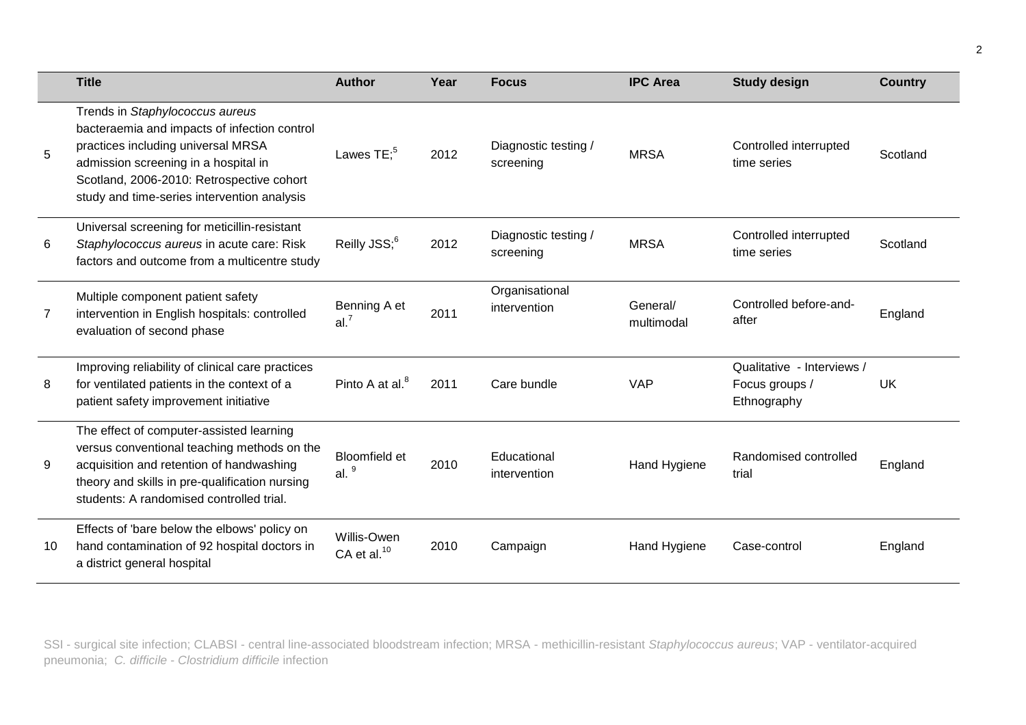|    | <b>Title</b>                                                                                                                                                                                                                                              | <b>Author</b>                          | Year | <b>Focus</b>                      | <b>IPC Area</b>        | <b>Study design</b>                                       | <b>Country</b> |
|----|-----------------------------------------------------------------------------------------------------------------------------------------------------------------------------------------------------------------------------------------------------------|----------------------------------------|------|-----------------------------------|------------------------|-----------------------------------------------------------|----------------|
| 5  | Trends in Staphylococcus aureus<br>bacteraemia and impacts of infection control<br>practices including universal MRSA<br>admission screening in a hospital in<br>Scotland, 2006-2010: Retrospective cohort<br>study and time-series intervention analysis | Lawes $TE:5$                           | 2012 | Diagnostic testing /<br>screening | <b>MRSA</b>            | Controlled interrupted<br>time series                     | Scotland       |
| 6  | Universal screening for meticillin-resistant<br>Staphylococcus aureus in acute care: Risk<br>factors and outcome from a multicentre study                                                                                                                 | Reilly JSS; <sup>6</sup>               | 2012 | Diagnostic testing /<br>screening | <b>MRSA</b>            | Controlled interrupted<br>time series                     | Scotland       |
| 7  | Multiple component patient safety<br>intervention in English hospitals: controlled<br>evaluation of second phase                                                                                                                                          | Benning A et<br>al. <sup>7</sup>       | 2011 | Organisational<br>intervention    | General/<br>multimodal | Controlled before-and-<br>after                           | England        |
| 8  | Improving reliability of clinical care practices<br>for ventilated patients in the context of a<br>patient safety improvement initiative                                                                                                                  | Pinto A at al. <sup>8</sup>            | 2011 | Care bundle                       | <b>VAP</b>             | Qualitative - Interviews<br>Focus groups /<br>Ethnography | <b>UK</b>      |
| 9  | The effect of computer-assisted learning<br>versus conventional teaching methods on the<br>acquisition and retention of handwashing<br>theory and skills in pre-qualification nursing<br>students: A randomised controlled trial.                         | Bloomfield et<br>al. $9$               | 2010 | Educational<br>intervention       | Hand Hygiene           | Randomised controlled<br>trial                            | England        |
| 10 | Effects of 'bare below the elbows' policy on<br>hand contamination of 92 hospital doctors in<br>a district general hospital                                                                                                                               | Willis-Owen<br>CA et al. <sup>10</sup> | 2010 | Campaign                          | Hand Hygiene           | Case-control                                              | England        |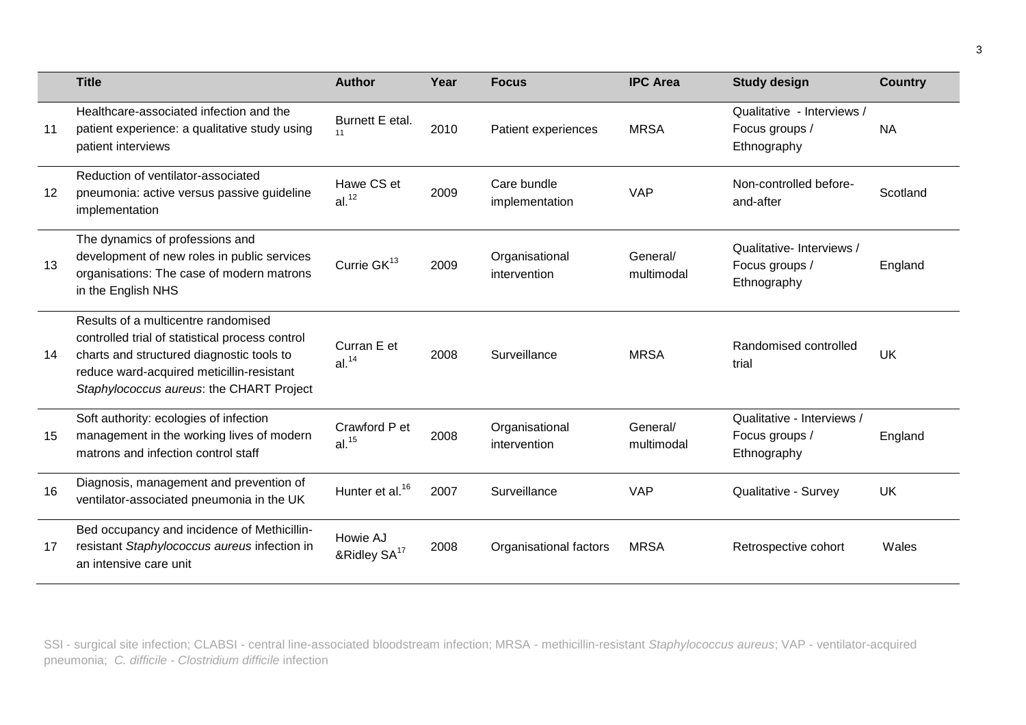|         | <b>Title</b>                                                                                                                                                                                                                 | <b>Author</b>                        | Year | <b>Focus</b>                   | <b>IPC Area</b>        | <b>Study design</b>                                         | <b>Country</b> |
|---------|------------------------------------------------------------------------------------------------------------------------------------------------------------------------------------------------------------------------------|--------------------------------------|------|--------------------------------|------------------------|-------------------------------------------------------------|----------------|
| 11      | Healthcare-associated infection and the<br>patient experience: a qualitative study using<br>patient interviews                                                                                                               | Burnett E etal.<br>11                | 2010 | Patient experiences            | <b>MRSA</b>            | Qualitative - Interviews /<br>Focus groups /<br>Ethnography | <b>NA</b>      |
| $12 \,$ | Reduction of ventilator-associated<br>pneumonia: active versus passive guideline<br>implementation                                                                                                                           | Hawe CS et<br>al. <sup>12</sup>      | 2009 | Care bundle<br>implementation  | <b>VAP</b>             | Non-controlled before-<br>and-after                         | Scotland       |
| 13      | The dynamics of professions and<br>development of new roles in public services<br>organisations: The case of modern matrons<br>in the English NHS                                                                            | Currie GK <sup>13</sup>              | 2009 | Organisational<br>intervention | General/<br>multimodal | Qualitative-Interviews /<br>Focus groups /<br>Ethnography   | England        |
| 14      | Results of a multicentre randomised<br>controlled trial of statistical process control<br>charts and structured diagnostic tools to<br>reduce ward-acquired meticillin-resistant<br>Staphylococcus aureus: the CHART Project | Curran E et<br>al. <sup>14</sup>     | 2008 | Surveillance                   | <b>MRSA</b>            | Randomised controlled<br>trial                              | <b>UK</b>      |
| 15      | Soft authority: ecologies of infection<br>management in the working lives of modern<br>matrons and infection control staff                                                                                                   | Crawford P et<br>al. <sup>15</sup>   | 2008 | Organisational<br>intervention | General/<br>multimodal | Qualitative - Interviews /<br>Focus groups /<br>Ethnography | England        |
| 16      | Diagnosis, management and prevention of<br>ventilator-associated pneumonia in the UK                                                                                                                                         | Hunter et al. <sup>16</sup>          | 2007 | Surveillance                   | <b>VAP</b>             | Qualitative - Survey                                        | UK             |
| 17      | Bed occupancy and incidence of Methicillin-<br>resistant Staphylococcus aureus infection in<br>an intensive care unit                                                                                                        | Howie AJ<br>&Ridley SA <sup>17</sup> | 2008 | Organisational factors         | <b>MRSA</b>            | Retrospective cohort                                        | Wales          |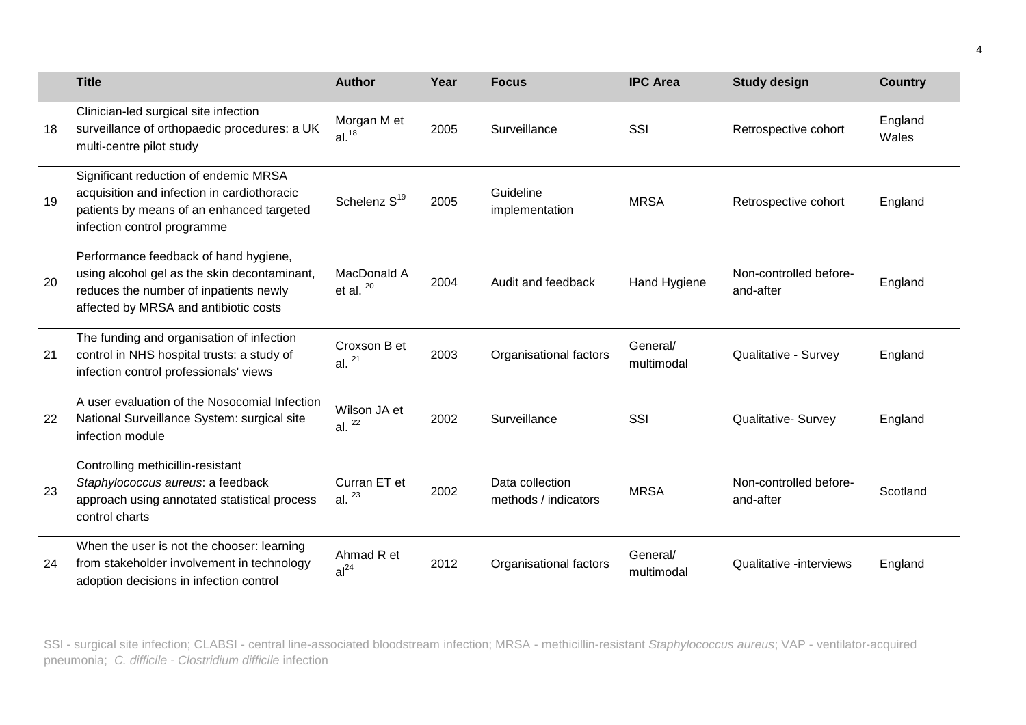|    | <b>Title</b>                                                                                                                                                             | <b>Author</b>                    | Year | <b>Focus</b>                            | <b>IPC Area</b>        | <b>Study design</b>                 | <b>Country</b>   |
|----|--------------------------------------------------------------------------------------------------------------------------------------------------------------------------|----------------------------------|------|-----------------------------------------|------------------------|-------------------------------------|------------------|
| 18 | Clinician-led surgical site infection<br>surveillance of orthopaedic procedures: a UK<br>multi-centre pilot study                                                        | Morgan M et<br>al. <sup>18</sup> | 2005 | Surveillance                            | SSI                    | Retrospective cohort                | England<br>Wales |
| 19 | Significant reduction of endemic MRSA<br>acquisition and infection in cardiothoracic<br>patients by means of an enhanced targeted<br>infection control programme         | Schelenz S <sup>19</sup>         | 2005 | Guideline<br>implementation             | <b>MRSA</b>            | Retrospective cohort                | England          |
| 20 | Performance feedback of hand hygiene,<br>using alcohol gel as the skin decontaminant,<br>reduces the number of inpatients newly<br>affected by MRSA and antibiotic costs | MacDonald A<br>et al. $20$       | 2004 | Audit and feedback                      | Hand Hygiene           | Non-controlled before-<br>and-after | England          |
| 21 | The funding and organisation of infection<br>control in NHS hospital trusts: a study of<br>infection control professionals' views                                        | Croxson B et<br>al. $21$         | 2003 | Organisational factors                  | General/<br>multimodal | Qualitative - Survey                | England          |
| 22 | A user evaluation of the Nosocomial Infection<br>National Surveillance System: surgical site<br>infection module                                                         | Wilson JA et<br>al. $22$         | 2002 | Surveillance                            | SSI                    | <b>Qualitative- Survey</b>          | England          |
| 23 | Controlling methicillin-resistant<br>Staphylococcus aureus: a feedback<br>approach using annotated statistical process<br>control charts                                 | Curran ET et<br>al. $^{23}$      | 2002 | Data collection<br>methods / indicators | <b>MRSA</b>            | Non-controlled before-<br>and-after | Scotland         |
| 24 | When the user is not the chooser: learning<br>from stakeholder involvement in technology<br>adoption decisions in infection control                                      | Ahmad R et<br>al <sup>24</sup>   | 2012 | Organisational factors                  | General/<br>multimodal | Qualitative -interviews             | England          |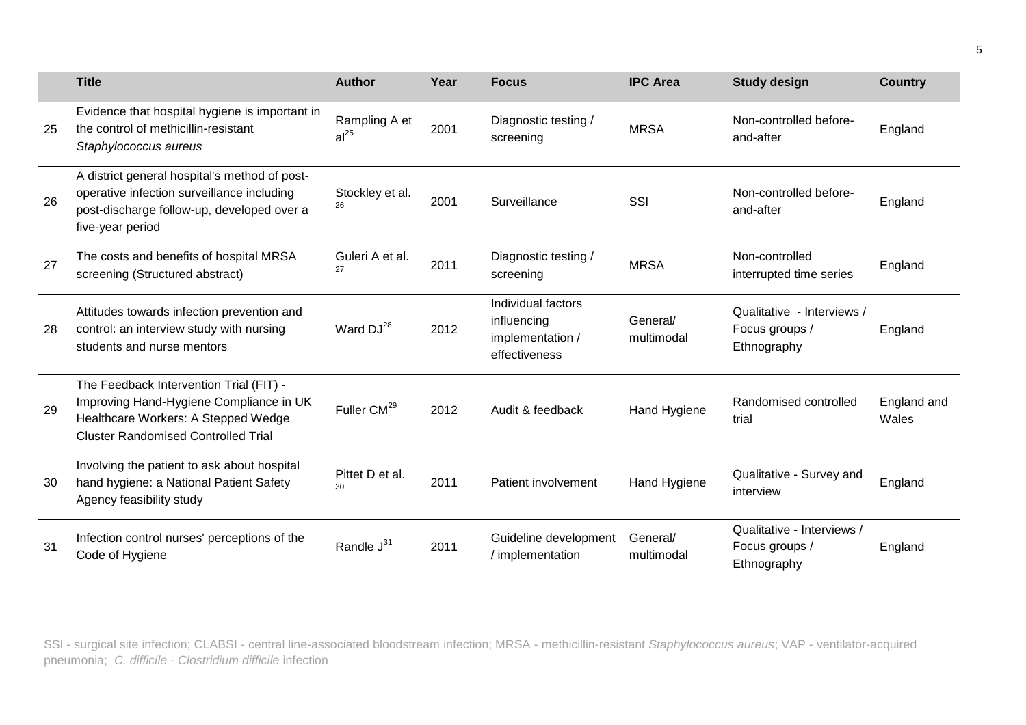|    | <b>Title</b>                                                                                                                                                            | <b>Author</b>                      | Year | <b>Focus</b>                                                           | <b>IPC Area</b>        | <b>Study design</b>                                         | <b>Country</b>       |
|----|-------------------------------------------------------------------------------------------------------------------------------------------------------------------------|------------------------------------|------|------------------------------------------------------------------------|------------------------|-------------------------------------------------------------|----------------------|
| 25 | Evidence that hospital hygiene is important in<br>the control of methicillin-resistant<br>Staphylococcus aureus                                                         | Rampling A et<br>al <sup>25</sup>  | 2001 | Diagnostic testing /<br>screening                                      | <b>MRSA</b>            | Non-controlled before-<br>and-after                         | England              |
| 26 | A district general hospital's method of post-<br>operative infection surveillance including<br>post-discharge follow-up, developed over a<br>five-year period           | Stockley et al.<br>26              | 2001 | Surveillance                                                           | SSI                    | Non-controlled before-<br>and-after                         | England              |
| 27 | The costs and benefits of hospital MRSA<br>screening (Structured abstract)                                                                                              | Guleri A et al.<br>27              | 2011 | Diagnostic testing /<br>screening                                      | <b>MRSA</b>            | Non-controlled<br>interrupted time series                   | England              |
| 28 | Attitudes towards infection prevention and<br>control: an interview study with nursing<br>students and nurse mentors                                                    | Ward DJ <sup>28</sup>              | 2012 | Individual factors<br>influencing<br>implementation /<br>effectiveness | General/<br>multimodal | Qualitative - Interviews /<br>Focus groups /<br>Ethnography | England              |
| 29 | The Feedback Intervention Trial (FIT) -<br>Improving Hand-Hygiene Compliance in UK<br>Healthcare Workers: A Stepped Wedge<br><b>Cluster Randomised Controlled Trial</b> | Fuller CM <sup>29</sup>            | 2012 | Audit & feedback                                                       | Hand Hygiene           | Randomised controlled<br>trial                              | England and<br>Wales |
| 30 | Involving the patient to ask about hospital<br>hand hygiene: a National Patient Safety<br>Agency feasibility study                                                      | Pittet D et al.<br>30 <sub>2</sub> | 2011 | Patient involvement                                                    | Hand Hygiene           | Qualitative - Survey and<br>interview                       | England              |
| 31 | Infection control nurses' perceptions of the<br>Code of Hygiene                                                                                                         | Randle J <sup>31</sup>             | 2011 | Guideline development<br>/ implementation                              | General/<br>multimodal | Qualitative - Interviews /<br>Focus groups /<br>Ethnography | England              |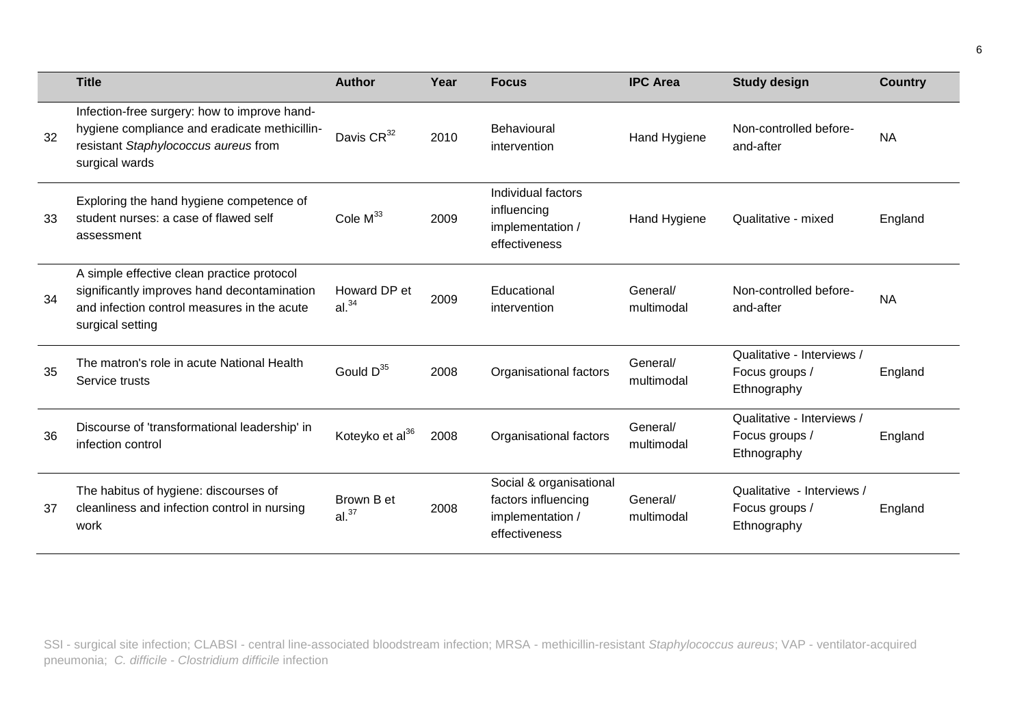|    | <b>Title</b>                                                                                                                                                 | <b>Author</b>                     | Year | <b>Focus</b>                                                                        | <b>IPC Area</b>        | <b>Study design</b>                                         | <b>Country</b> |
|----|--------------------------------------------------------------------------------------------------------------------------------------------------------------|-----------------------------------|------|-------------------------------------------------------------------------------------|------------------------|-------------------------------------------------------------|----------------|
| 32 | Infection-free surgery: how to improve hand-<br>hygiene compliance and eradicate methicillin-<br>resistant Staphylococcus aureus from<br>surgical wards      | Davis CR <sup>32</sup>            | 2010 | Behavioural<br>intervention                                                         | Hand Hygiene           | Non-controlled before-<br>and-after                         | <b>NA</b>      |
| 33 | Exploring the hand hygiene competence of<br>student nurses: a case of flawed self<br>assessment                                                              | Cole $M^{33}$                     | 2009 | Individual factors<br>influencing<br>implementation /<br>effectiveness              | Hand Hygiene           | Qualitative - mixed                                         | England        |
| 34 | A simple effective clean practice protocol<br>significantly improves hand decontamination<br>and infection control measures in the acute<br>surgical setting | Howard DP et<br>al. <sup>34</sup> | 2009 | Educational<br>intervention                                                         | General/<br>multimodal | Non-controlled before-<br>and-after                         | <b>NA</b>      |
| 35 | The matron's role in acute National Health<br>Service trusts                                                                                                 | Gould $D^{35}$                    | 2008 | Organisational factors                                                              | General/<br>multimodal | Qualitative - Interviews /<br>Focus groups /<br>Ethnography | England        |
| 36 | Discourse of 'transformational leadership' in<br>infection control                                                                                           | Koteyko et al <sup>36</sup>       | 2008 | Organisational factors                                                              | General/<br>multimodal | Qualitative - Interviews /<br>Focus groups /<br>Ethnography | England        |
| 37 | The habitus of hygiene: discourses of<br>cleanliness and infection control in nursing<br>work                                                                | Brown B et<br>al. <sup>37</sup>   | 2008 | Social & organisational<br>factors influencing<br>implementation /<br>effectiveness | General/<br>multimodal | Qualitative - Interviews /<br>Focus groups /<br>Ethnography | England        |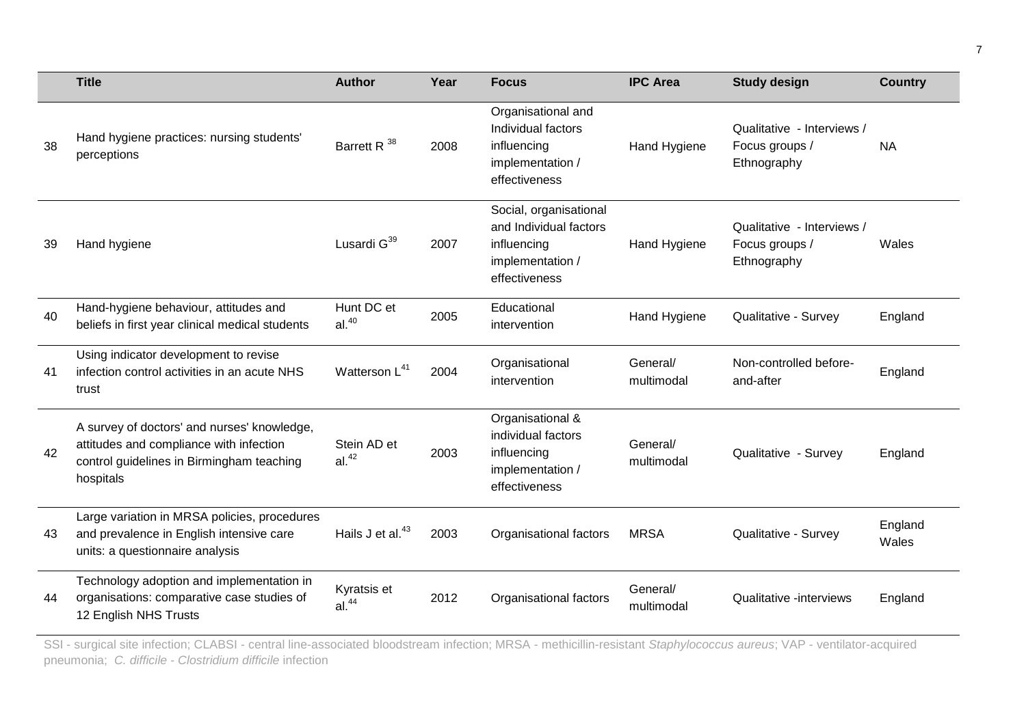|    | <b>Title</b>                                                                                                                                     | <b>Author</b>                    | Year | <b>Focus</b>                                                                                         | <b>IPC Area</b>        | <b>Study design</b>                                         | <b>Country</b>   |
|----|--------------------------------------------------------------------------------------------------------------------------------------------------|----------------------------------|------|------------------------------------------------------------------------------------------------------|------------------------|-------------------------------------------------------------|------------------|
| 38 | Hand hygiene practices: nursing students'<br>perceptions                                                                                         | Barrett R <sup>38</sup>          | 2008 | Organisational and<br>Individual factors<br>influencing<br>implementation /<br>effectiveness         | Hand Hygiene           | Qualitative - Interviews /<br>Focus groups /<br>Ethnography | <b>NA</b>        |
| 39 | Hand hygiene                                                                                                                                     | Lusardi G <sup>39</sup>          | 2007 | Social, organisational<br>and Individual factors<br>influencing<br>implementation /<br>effectiveness | Hand Hygiene           | Qualitative - Interviews /<br>Focus groups /<br>Ethnography | Wales            |
| 40 | Hand-hygiene behaviour, attitudes and<br>beliefs in first year clinical medical students                                                         | Hunt DC et<br>al <sup>40</sup>   | 2005 | Educational<br>intervention                                                                          | Hand Hygiene           | Qualitative - Survey                                        | England          |
| 41 | Using indicator development to revise<br>infection control activities in an acute NHS<br>trust                                                   | Watterson L <sup>41</sup>        | 2004 | Organisational<br>intervention                                                                       | General/<br>multimodal | Non-controlled before-<br>and-after                         | England          |
| 42 | A survey of doctors' and nurses' knowledge,<br>attitudes and compliance with infection<br>control guidelines in Birmingham teaching<br>hospitals | Stein AD et<br>al. <sup>42</sup> | 2003 | Organisational &<br>individual factors<br>influencing<br>implementation /<br>effectiveness           | General/<br>multimodal | Qualitative - Survey                                        | England          |
| 43 | Large variation in MRSA policies, procedures<br>and prevalence in English intensive care<br>units: a questionnaire analysis                      | Hails J et al. <sup>43</sup>     | 2003 | Organisational factors                                                                               | <b>MRSA</b>            | Qualitative - Survey                                        | England<br>Wales |
| 44 | Technology adoption and implementation in<br>organisations: comparative case studies of<br>12 English NHS Trusts                                 | Kyratsis et<br>al. <sup>44</sup> | 2012 | Organisational factors                                                                               | General/<br>multimodal | Qualitative -interviews                                     | England          |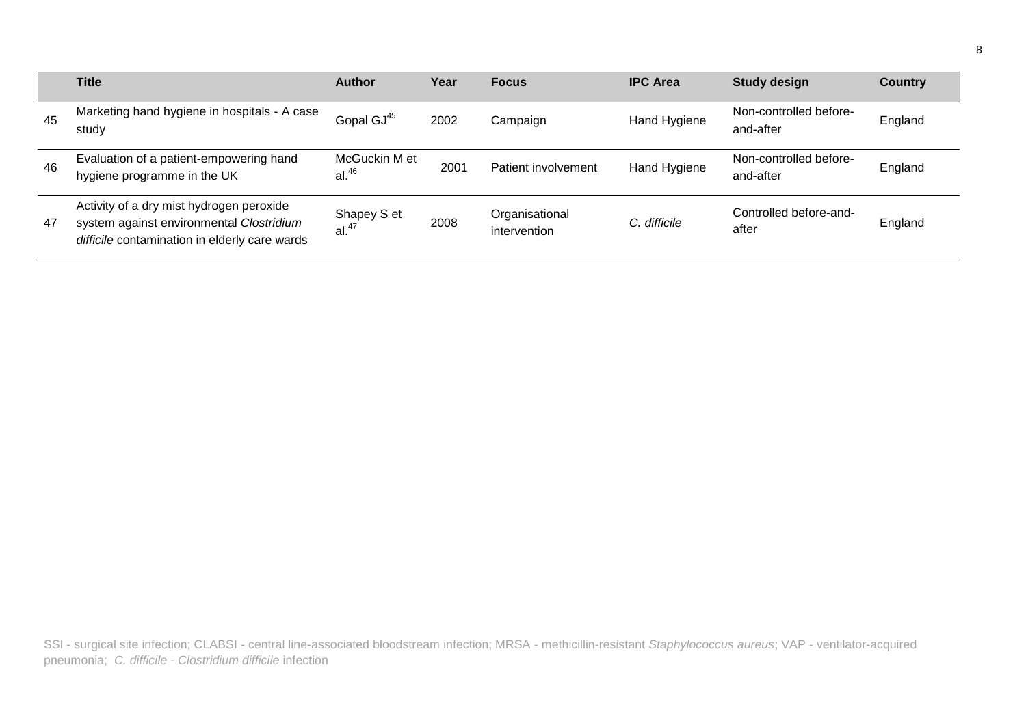|    | Title                                                                                                                                 | <b>Author</b>                      | Year | <b>Focus</b>                   | <b>IPC Area</b> | <b>Study design</b>                 | <b>Country</b> |
|----|---------------------------------------------------------------------------------------------------------------------------------------|------------------------------------|------|--------------------------------|-----------------|-------------------------------------|----------------|
| 45 | Marketing hand hygiene in hospitals - A case<br>study                                                                                 | Gopal GJ <sup>45</sup>             | 2002 | Campaign                       | Hand Hygiene    | Non-controlled before-<br>and-after | England        |
| 46 | Evaluation of a patient-empowering hand<br>hygiene programme in the UK                                                                | McGuckin M et<br>al. <sup>46</sup> | 2001 | Patient involvement            | Hand Hygiene    | Non-controlled before-<br>and-after | England        |
| 47 | Activity of a dry mist hydrogen peroxide<br>system against environmental Clostridium<br>difficile contamination in elderly care wards | Shapey S et<br>al. <sup>47</sup>   | 2008 | Organisational<br>intervention | C. difficile    | Controlled before-and-<br>after     | England        |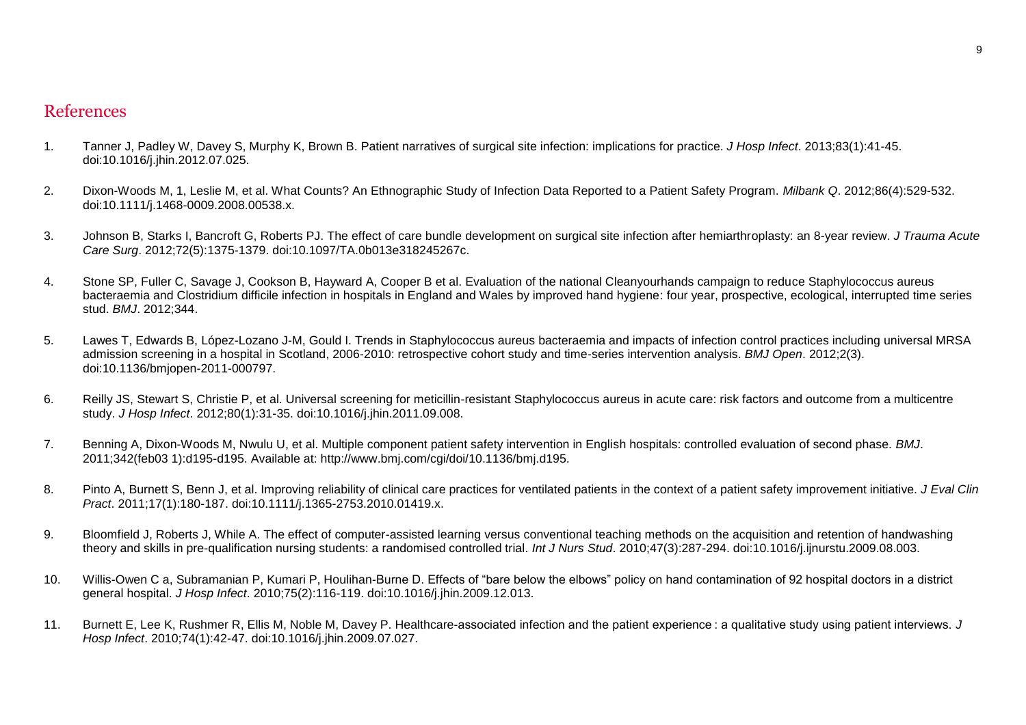## References

- 1. Tanner J, Padley W, Davey S, Murphy K, Brown B. Patient narratives of surgical site infection: implications for practice. *J Hosp Infect*. 2013;83(1):41-45. doi:10.1016/j.jhin.2012.07.025.
- 2. Dixon-Woods M, 1, Leslie M, et al. What Counts? An Ethnographic Study of Infection Data Reported to a Patient Safety Program. *Milbank Q*. 2012;86(4):529-532. doi:10.1111/j.1468-0009.2008.00538.x.
- 3. Johnson B, Starks I, Bancroft G, Roberts PJ. The effect of care bundle development on surgical site infection after hemiarthroplasty: an 8-year review. *J Trauma Acute Care Surg*. 2012;72(5):1375-1379. doi:10.1097/TA.0b013e318245267c.
- 4. Stone SP, Fuller C, Savage J, Cookson B, Hayward A, Cooper B et al. Evaluation of the national Cleanyourhands campaign to reduce Staphylococcus aureus bacteraemia and Clostridium difficile infection in hospitals in England and Wales by improved hand hygiene: four year, prospective, ecological, interrupted time series stud. *BMJ*. 2012;344.
- 5. Lawes T, Edwards B, López-Lozano J-M, Gould I. Trends in Staphylococcus aureus bacteraemia and impacts of infection control practices including universal MRSA admission screening in a hospital in Scotland, 2006-2010: retrospective cohort study and time-series intervention analysis. *BMJ Open*. 2012;2(3). doi:10.1136/bmjopen-2011-000797.
- 6. Reilly JS, Stewart S, Christie P, et al. Universal screening for meticillin-resistant Staphylococcus aureus in acute care: risk factors and outcome from a multicentre study. *J Hosp Infect*. 2012;80(1):31-35. doi:10.1016/j.jhin.2011.09.008.
- 7. Benning A, Dixon-Woods M, Nwulu U, et al. Multiple component patient safety intervention in English hospitals: controlled evaluation of second phase. *BMJ*. 2011;342(feb03 1):d195-d195. Available at: http://www.bmj.com/cgi/doi/10.1136/bmj.d195.
- 8. Pinto A, Burnett S, Benn J, et al. Improving reliability of clinical care practices for ventilated patients in the context of a patient safety improvement initiative. *J Eval Clin Pract*. 2011;17(1):180-187. doi:10.1111/j.1365-2753.2010.01419.x.
- 9. Bloomfield J, Roberts J, While A. The effect of computer-assisted learning versus conventional teaching methods on the acquisition and retention of handwashing theory and skills in pre-qualification nursing students: a randomised controlled trial. *Int J Nurs Stud*. 2010;47(3):287-294. doi:10.1016/j.ijnurstu.2009.08.003.
- 10. Willis-Owen C a, Subramanian P, Kumari P, Houlihan-Burne D. Effects of "bare below the elbows" policy on hand contamination of 92 hospital doctors in a district general hospital. *J Hosp Infect*. 2010;75(2):116-119. doi:10.1016/j.jhin.2009.12.013.
- 11. Burnett E, Lee K, Rushmer R, Ellis M, Noble M, Davey P. Healthcare-associated infection and the patient experience : a qualitative study using patient interviews. *J Hosp Infect*. 2010;74(1):42-47. doi:10.1016/j.jhin.2009.07.027.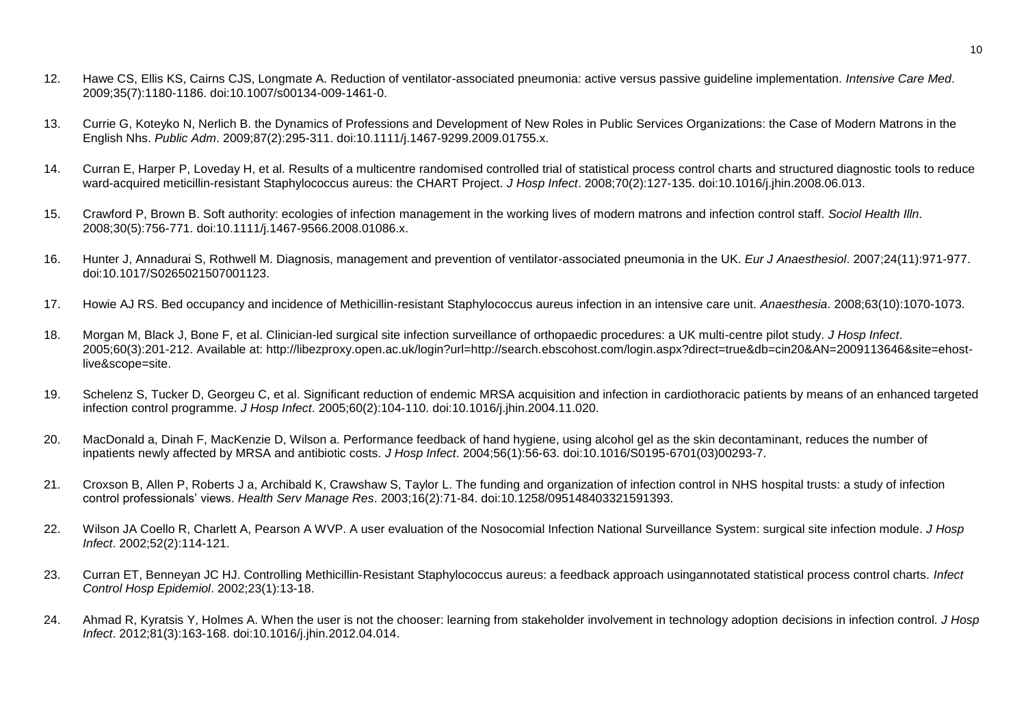- 12. Hawe CS, Ellis KS, Cairns CJS, Longmate A. Reduction of ventilator-associated pneumonia: active versus passive guideline implementation. *Intensive Care Med*. 2009;35(7):1180-1186. doi:10.1007/s00134-009-1461-0.
- 13. Currie G, Koteyko N, Nerlich B. the Dynamics of Professions and Development of New Roles in Public Services Organizations: the Case of Modern Matrons in the English Nhs. *Public Adm*. 2009;87(2):295-311. doi:10.1111/j.1467-9299.2009.01755.x.
- 14. Curran E, Harper P, Loveday H, et al. Results of a multicentre randomised controlled trial of statistical process control charts and structured diagnostic tools to reduce ward-acquired meticillin-resistant Staphylococcus aureus: the CHART Project. *J Hosp Infect*. 2008;70(2):127-135. doi:10.1016/j.jhin.2008.06.013.
- 15. Crawford P, Brown B. Soft authority: ecologies of infection management in the working lives of modern matrons and infection control staff. *Sociol Health Illn*. 2008;30(5):756-771. doi:10.1111/j.1467-9566.2008.01086.x.
- 16. Hunter J, Annadurai S, Rothwell M. Diagnosis, management and prevention of ventilator-associated pneumonia in the UK. *Eur J Anaesthesiol*. 2007;24(11):971-977. doi:10.1017/S0265021507001123.
- 17. Howie AJ RS. Bed occupancy and incidence of Methicillin-resistant Staphylococcus aureus infection in an intensive care unit. *Anaesthesia*. 2008;63(10):1070-1073.
- 18. Morgan M, Black J, Bone F, et al. Clinician-led surgical site infection surveillance of orthopaedic procedures: a UK multi-centre pilot study. *J Hosp Infect*. 2005;60(3):201-212. Available at: http://libezproxy.open.ac.uk/login?url=http://search.ebscohost.com/login.aspx?direct=true&db=cin20&AN=2009113646&site=ehostlive&scope=site.
- 19. Schelenz S, Tucker D, Georgeu C, et al. Significant reduction of endemic MRSA acquisition and infection in cardiothoracic patients by means of an enhanced targeted infection control programme. *J Hosp Infect*. 2005;60(2):104-110. doi:10.1016/j.jhin.2004.11.020.
- 20. MacDonald a, Dinah F, MacKenzie D, Wilson a. Performance feedback of hand hygiene, using alcohol gel as the skin decontaminant, reduces the number of inpatients newly affected by MRSA and antibiotic costs. *J Hosp Infect*. 2004;56(1):56-63. doi:10.1016/S0195-6701(03)00293-7.
- 21. Croxson B, Allen P, Roberts J a, Archibald K, Crawshaw S, Taylor L. The funding and organization of infection control in NHS hospital trusts: a study of infection control professionals' views. *Health Serv Manage Res*. 2003;16(2):71-84. doi:10.1258/095148403321591393.
- 22. Wilson JA Coello R, Charlett A, Pearson A WVP. A user evaluation of the Nosocomial Infection National Surveillance System: surgical site infection module. *J Hosp Infect*. 2002;52(2):114-121.
- 23. Curran ET, Benneyan JC HJ. Controlling Methicillin‐Resistant Staphylococcus aureus: a feedback approach usingannotated statistical process control charts. *Infect Control Hosp Epidemiol*. 2002;23(1):13-18.
- 24. Ahmad R, Kyratsis Y, Holmes A. When the user is not the chooser: learning from stakeholder involvement in technology adoption decisions in infection control. *J Hosp Infect*. 2012;81(3):163-168. doi:10.1016/j.jhin.2012.04.014.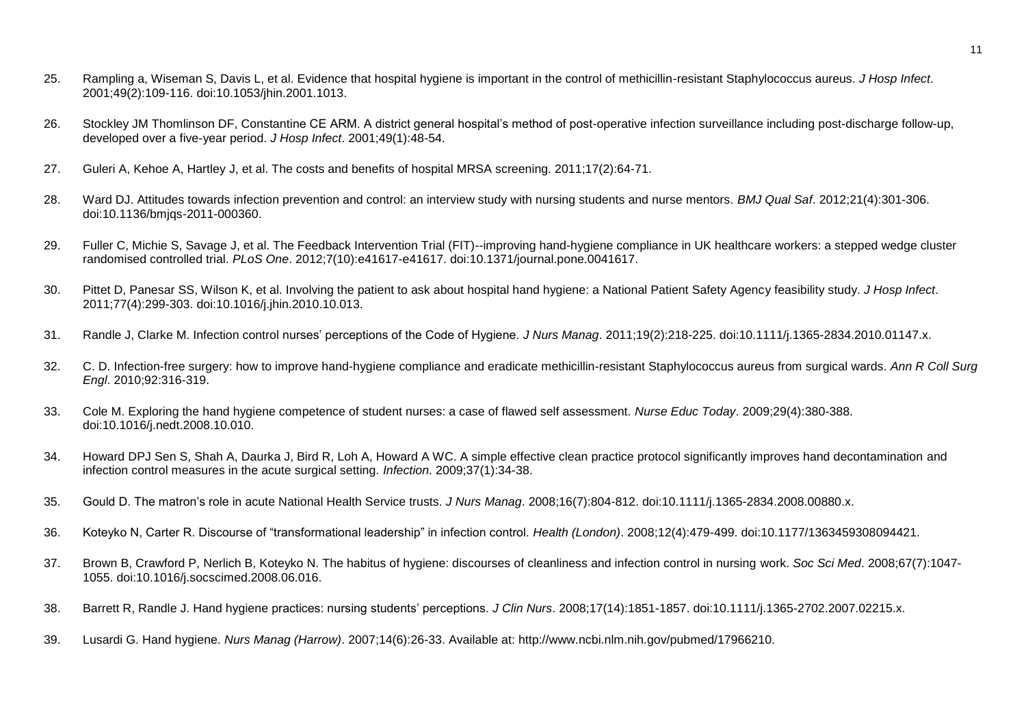- 25. Rampling a, Wiseman S, Davis L, et al. Evidence that hospital hygiene is important in the control of methicillin-resistant Staphylococcus aureus. *J Hosp Infect*. 2001;49(2):109-116. doi:10.1053/jhin.2001.1013.
- 26. Stockley JM Thomlinson DF, Constantine CE ARM. A district general hospital's method of post-operative infection surveillance including post-discharge follow-up, developed over a five-year period. *J Hosp Infect*. 2001;49(1):48-54.
- 27. Guleri A, Kehoe A, Hartley J, et al. The costs and benefits of hospital MRSA screening. 2011;17(2):64-71.
- 28. Ward DJ. Attitudes towards infection prevention and control: an interview study with nursing students and nurse mentors. *BMJ Qual Saf*. 2012;21(4):301-306. doi:10.1136/bmjqs-2011-000360.
- 29. Fuller C, Michie S, Savage J, et al. The Feedback Intervention Trial (FIT)--improving hand-hygiene compliance in UK healthcare workers: a stepped wedge cluster randomised controlled trial. *PLoS One*. 2012;7(10):e41617-e41617. doi:10.1371/journal.pone.0041617.
- 30. Pittet D, Panesar SS, Wilson K, et al. Involving the patient to ask about hospital hand hygiene: a National Patient Safety Agency feasibility study. *J Hosp Infect*. 2011;77(4):299-303. doi:10.1016/j.jhin.2010.10.013.
- 31. Randle J, Clarke M. Infection control nurses' perceptions of the Code of Hygiene. *J Nurs Manag*. 2011;19(2):218-225. doi:10.1111/j.1365-2834.2010.01147.x.
- 32. C. D. Infection-free surgery: how to improve hand-hygiene compliance and eradicate methicillin-resistant Staphylococcus aureus from surgical wards. *Ann R Coll Surg Engl*. 2010;92:316-319.
- 33. Cole M. Exploring the hand hygiene competence of student nurses: a case of flawed self assessment. *Nurse Educ Today*. 2009;29(4):380-388. doi:10.1016/j.nedt.2008.10.010.
- 34. Howard DPJ Sen S, Shah A, Daurka J, Bird R, Loh A, Howard A WC. A simple effective clean practice protocol significantly improves hand decontamination and infection control measures in the acute surgical setting. *Infection*. 2009;37(1):34-38.
- 35. Gould D. The matron's role in acute National Health Service trusts. *J Nurs Manag*. 2008;16(7):804-812. doi:10.1111/j.1365-2834.2008.00880.x.
- 36. Koteyko N, Carter R. Discourse of "transformational leadership" in infection control. *Health (London)*. 2008;12(4):479-499. doi:10.1177/1363459308094421.
- 37. Brown B, Crawford P, Nerlich B, Koteyko N. The habitus of hygiene: discourses of cleanliness and infection control in nursing work. *Soc Sci Med*. 2008;67(7):1047- 1055. doi:10.1016/j.socscimed.2008.06.016.
- 38. Barrett R, Randle J. Hand hygiene practices: nursing students' perceptions. *J Clin Nurs*. 2008;17(14):1851-1857. doi:10.1111/j.1365-2702.2007.02215.x.
- 39. Lusardi G. Hand hygiene. *Nurs Manag (Harrow)*. 2007;14(6):26-33. Available at: http://www.ncbi.nlm.nih.gov/pubmed/17966210.